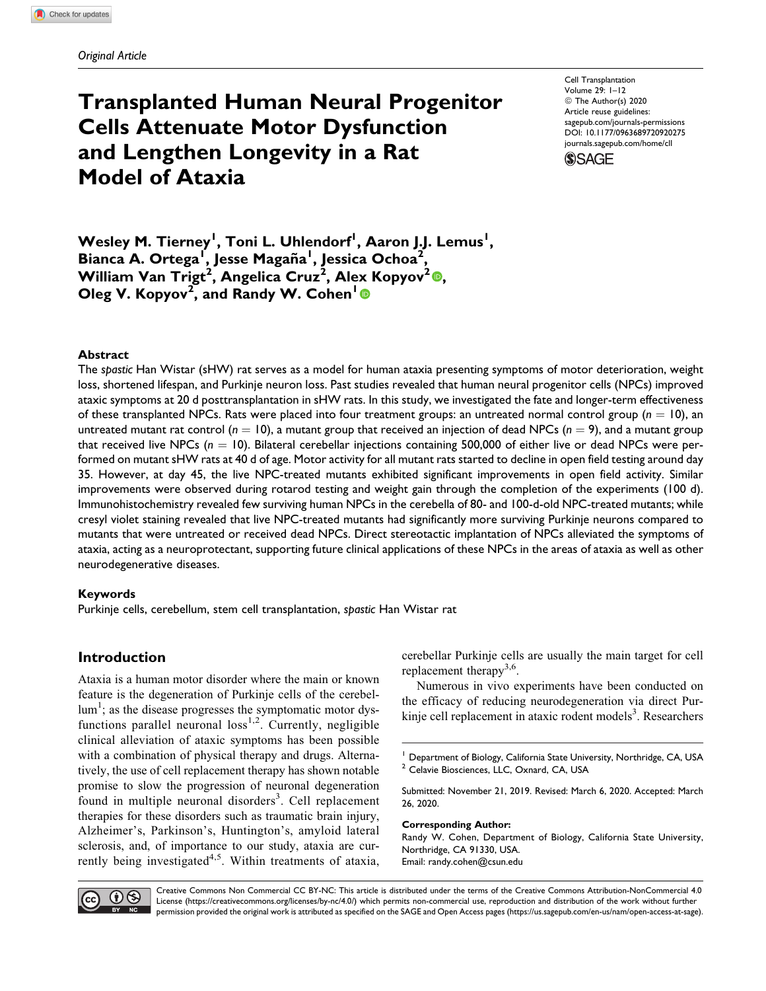# Transplanted Human Neural Progenitor Cells Attenuate Motor Dysfunction and Lengthen Longevity in a Rat Model of Ataxia

Cell Transplantation Volume 29: 1–12 © The Author(s) 2020 Article reuse guidelines: [sagepub.com/journals-permissions](https://sagepub.com/journals-permissions) [DOI: 10.1177/0963689720920275](https://doi.org/10.1177/0963689720920275) [journals.sagepub.com/home/cll](http://journals.sagepub.com/home/cll) **SSAGE** 

Wesley M. Tierney<sup>ı</sup>, Toni L. Uhlendorf<sup>ı</sup>, Aaron J.J. Lemus<sup>ı</sup>, Bianca A. Ortega<sup>l</sup>, Jesse Magaña<sup>l</sup>, Jessica Ochoa<sup>2</sup>, William Van Trigt<sup>2</sup>[,](https://orcid.org/0000-0003-0420-138X) Angelica Cruz<sup>2</sup>, Alex Kopyov<sup>2</sup>®, Oleg V. Kopyov<sup>2</sup>, and Randy W. Cohen<sup>1</sup>

### **Abstract**

The spastic Han Wistar (sHW) rat serves as a model for human ataxia presenting symptoms of motor deterioration, weight loss, shortened lifespan, and Purkinje neuron loss. Past studies revealed that human neural progenitor cells (NPCs) improved ataxic symptoms at 20 d posttransplantation in sHW rats. In this study, we investigated the fate and longer-term effectiveness of these transplanted NPCs. Rats were placed into four treatment groups: an untreated normal control group ( $n = 10$ ), an untreated mutant rat control ( $n = 10$ ), a mutant group that received an injection of dead NPCs ( $n = 9$ ), and a mutant group that received live NPCs ( $n = 10$ ). Bilateral cerebellar injections containing 500,000 of either live or dead NPCs were performed on mutant sHW rats at 40 d of age. Motor activity for all mutant rats started to decline in open field testing around day 35. However, at day 45, the live NPC-treated mutants exhibited significant improvements in open field activity. Similar improvements were observed during rotarod testing and weight gain through the completion of the experiments (100 d). Immunohistochemistry revealed few surviving human NPCs in the cerebella of 80- and 100-d-old NPC-treated mutants; while cresyl violet staining revealed that live NPC-treated mutants had significantly more surviving Purkinje neurons compared to mutants that were untreated or received dead NPCs. Direct stereotactic implantation of NPCs alleviated the symptoms of ataxia, acting as a neuroprotectant, supporting future clinical applications of these NPCs in the areas of ataxia as well as other neurodegenerative diseases.

### Keywords

Purkinje cells, cerebellum, stem cell transplantation, spastic Han Wistar rat

# Introduction

Ataxia is a human motor disorder where the main or known feature is the degeneration of Purkinje cells of the cerebellum<sup>1</sup>; as the disease progresses the symptomatic motor dysfunctions parallel neuronal  $loss<sup>1,2</sup>$ . Currently, negligible clinical alleviation of ataxic symptoms has been possible with a combination of physical therapy and drugs. Alternatively, the use of cell replacement therapy has shown notable promise to slow the progression of neuronal degeneration found in multiple neuronal disorders<sup>3</sup>. Cell replacement therapies for these disorders such as traumatic brain injury, Alzheimer's, Parkinson's, Huntington's, amyloid lateral sclerosis, and, of importance to our study, ataxia are currently being investigated<sup>4,5</sup>. Within treatments of ataxia, cerebellar Purkinje cells are usually the main target for cell replacement therapy<sup>3,6</sup>.

Numerous in vivo experiments have been conducted on the efficacy of reducing neurodegeneration via direct Purkinje cell replacement in ataxic rodent models<sup>3</sup>. Researchers

Corresponding Author: Randy W. Cohen, Department of Biology, California State University,

Northridge, CA 91330, USA. Email: [randy.cohen@csun.edu](mailto:randy.cohen@csun.edu)



Creative Commons Non Commercial CC BY-NC: This article is distributed under the terms of the Creative Commons Attribution-NonCommercial 4.0 License [\(https://creativecommons.org/licenses/by-nc/4.0/](https://creativecommons.org/licenses/by-nc/4.0/)) which permits non-commercial use, reproduction and distribution of the work without further permission provided the original work is attributed as specified on the SAGE and Open Access pages ([https://us.sagepub.com/en-us/nam/open-access-at-sage\)](https://us.sagepub.com/en-us/nam/open-access-at-sage).

<sup>&</sup>lt;sup>1</sup> Department of Biology, California State University, Northridge, CA, USA <sup>2</sup> Celavie Biosciences, LLC, Oxnard, CA, USA

Submitted: November 21, 2019. Revised: March 6, 2020. Accepted: March 26, 2020.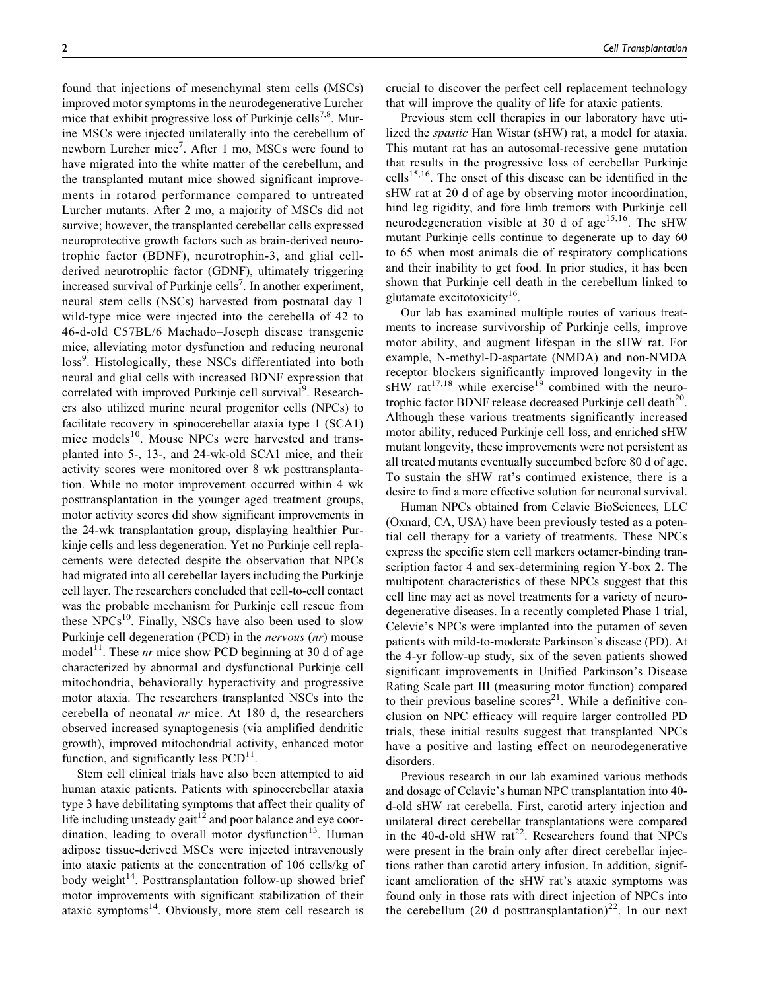found that injections of mesenchymal stem cells (MSCs) improved motor symptoms in the neurodegenerative Lurcher mice that exhibit progressive loss of Purkinje cells<sup>7,8</sup>. Murine MSCs were injected unilaterally into the cerebellum of newborn Lurcher mice<sup>7</sup> . After 1 mo, MSCs were found to have migrated into the white matter of the cerebellum, and the transplanted mutant mice showed significant improvements in rotarod performance compared to untreated Lurcher mutants. After 2 mo, a majority of MSCs did not survive; however, the transplanted cerebellar cells expressed neuroprotective growth factors such as brain-derived neurotrophic factor (BDNF), neurotrophin-3, and glial cellderived neurotrophic factor (GDNF), ultimately triggering increased survival of Purkinje cells<sup>7</sup>. In another experiment, neural stem cells (NSCs) harvested from postnatal day 1 wild-type mice were injected into the cerebella of 42 to 46-d-old C57BL/6 Machado–Joseph disease transgenic mice, alleviating motor dysfunction and reducing neuronal loss<sup>9</sup>. Histologically, these NSCs differentiated into both neural and glial cells with increased BDNF expression that correlated with improved Purkinje cell survival<sup>9</sup>. Researchers also utilized murine neural progenitor cells (NPCs) to facilitate recovery in spinocerebellar ataxia type 1 (SCA1) mice models<sup>10</sup>. Mouse NPCs were harvested and transplanted into 5-, 13-, and 24-wk-old SCA1 mice, and their activity scores were monitored over 8 wk posttransplantation. While no motor improvement occurred within 4 wk posttransplantation in the younger aged treatment groups, motor activity scores did show significant improvements in the 24-wk transplantation group, displaying healthier Purkinje cells and less degeneration. Yet no Purkinje cell replacements were detected despite the observation that NPCs had migrated into all cerebellar layers including the Purkinje cell layer. The researchers concluded that cell-to-cell contact was the probable mechanism for Purkinje cell rescue from these  $NPCs<sup>10</sup>$ . Finally, NSCs have also been used to slow Purkinje cell degeneration (PCD) in the *nervous* (nr) mouse model<sup>11</sup>. These *nr* mice show PCD beginning at 30 d of age characterized by abnormal and dysfunctional Purkinje cell mitochondria, behaviorally hyperactivity and progressive motor ataxia. The researchers transplanted NSCs into the cerebella of neonatal nr mice. At 180 d, the researchers observed increased synaptogenesis (via amplified dendritic growth), improved mitochondrial activity, enhanced motor function, and significantly less  $PCD<sup>11</sup>$ .

Stem cell clinical trials have also been attempted to aid human ataxic patients. Patients with spinocerebellar ataxia type 3 have debilitating symptoms that affect their quality of life including unsteady gait $1^2$  and poor balance and eye coordination, leading to overall motor dysfunction<sup>13</sup>. Human adipose tissue-derived MSCs were injected intravenously into ataxic patients at the concentration of 106 cells/kg of body weight $14$ . Posttransplantation follow-up showed brief motor improvements with significant stabilization of their ataxic symptoms $^{14}$ . Obviously, more stem cell research is

crucial to discover the perfect cell replacement technology that will improve the quality of life for ataxic patients.

Previous stem cell therapies in our laboratory have utilized the spastic Han Wistar (sHW) rat, a model for ataxia. This mutant rat has an autosomal-recessive gene mutation that results in the progressive loss of cerebellar Purkinje cells<sup>15,16</sup>. The onset of this disease can be identified in the sHW rat at 20 d of age by observing motor incoordination, hind leg rigidity, and fore limb tremors with Purkinje cell neurodegeneration visible at 30 d of age<sup>15,16</sup>. The sHW mutant Purkinje cells continue to degenerate up to day 60 to 65 when most animals die of respiratory complications and their inability to get food. In prior studies, it has been shown that Purkinje cell death in the cerebellum linked to glutamate excitotoxicity<sup>16</sup>.

Our lab has examined multiple routes of various treatments to increase survivorship of Purkinje cells, improve motor ability, and augment lifespan in the sHW rat. For example, N-methyl-D-aspartate (NMDA) and non-NMDA receptor blockers significantly improved longevity in the  $sHW$  rat<sup>17,18</sup> while exercise<sup>19</sup> combined with the neurotrophic factor BDNF release decreased Purkinje cell death $^{20}$ . Although these various treatments significantly increased motor ability, reduced Purkinje cell loss, and enriched sHW mutant longevity, these improvements were not persistent as all treated mutants eventually succumbed before 80 d of age. To sustain the sHW rat's continued existence, there is a desire to find a more effective solution for neuronal survival.

Human NPCs obtained from Celavie BioSciences, LLC (Oxnard, CA, USA) have been previously tested as a potential cell therapy for a variety of treatments. These NPCs express the specific stem cell markers octamer-binding transcription factor 4 and sex-determining region Y-box 2. The multipotent characteristics of these NPCs suggest that this cell line may act as novel treatments for a variety of neurodegenerative diseases. In a recently completed Phase 1 trial, Celevie's NPCs were implanted into the putamen of seven patients with mild-to-moderate Parkinson's disease (PD). At the 4-yr follow-up study, six of the seven patients showed significant improvements in Unified Parkinson's Disease Rating Scale part III (measuring motor function) compared to their previous baseline  $\text{scores}^{21}$ . While a definitive conclusion on NPC efficacy will require larger controlled PD trials, these initial results suggest that transplanted NPCs have a positive and lasting effect on neurodegenerative disorders.

Previous research in our lab examined various methods and dosage of Celavie's human NPC transplantation into 40 d-old sHW rat cerebella. First, carotid artery injection and unilateral direct cerebellar transplantations were compared in the 40-d-old sHW rat<sup>22</sup>. Researchers found that NPCs were present in the brain only after direct cerebellar injections rather than carotid artery infusion. In addition, significant amelioration of the sHW rat's ataxic symptoms was found only in those rats with direct injection of NPCs into the cerebellum (20 d posttransplantation)<sup>22</sup>. In our next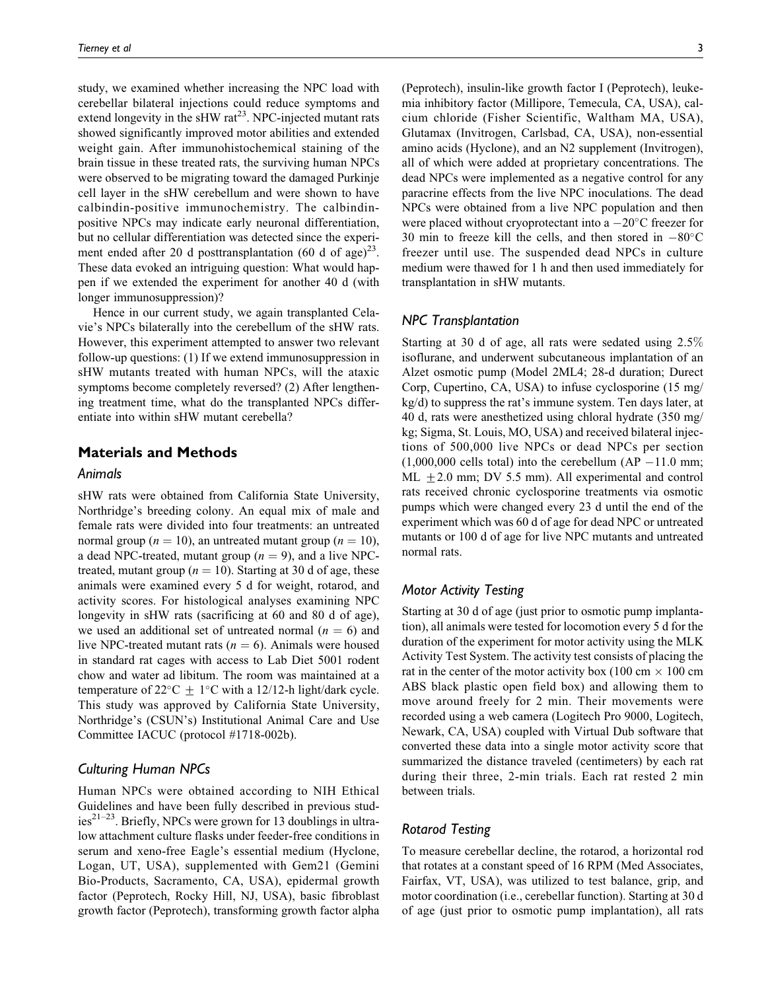study, we examined whether increasing the NPC load with cerebellar bilateral injections could reduce symptoms and extend longevity in the sHW  $rat^{23}$ . NPC-injected mutant rats showed significantly improved motor abilities and extended weight gain. After immunohistochemical staining of the brain tissue in these treated rats, the surviving human NPCs were observed to be migrating toward the damaged Purkinje cell layer in the sHW cerebellum and were shown to have calbindin-positive immunochemistry. The calbindinpositive NPCs may indicate early neuronal differentiation, but no cellular differentiation was detected since the experiment ended after 20 d posttransplantation (60 d of age)<sup>23</sup>. These data evoked an intriguing question: What would happen if we extended the experiment for another 40 d (with longer immunosuppression)?

Hence in our current study, we again transplanted Celavie's NPCs bilaterally into the cerebellum of the sHW rats. However, this experiment attempted to answer two relevant follow-up questions: (1) If we extend immunosuppression in sHW mutants treated with human NPCs, will the ataxic symptoms become completely reversed? (2) After lengthening treatment time, what do the transplanted NPCs differentiate into within sHW mutant cerebella?

# Materials and Methods

# Animals

sHW rats were obtained from California State University, Northridge's breeding colony. An equal mix of male and female rats were divided into four treatments: an untreated normal group ( $n = 10$ ), an untreated mutant group ( $n = 10$ ), a dead NPC-treated, mutant group ( $n = 9$ ), and a live NPCtreated, mutant group ( $n = 10$ ). Starting at 30 d of age, these animals were examined every 5 d for weight, rotarod, and activity scores. For histological analyses examining NPC longevity in sHW rats (sacrificing at 60 and 80 d of age), we used an additional set of untreated normal ( $n = 6$ ) and live NPC-treated mutant rats ( $n = 6$ ). Animals were housed in standard rat cages with access to Lab Diet 5001 rodent chow and water ad libitum. The room was maintained at a temperature of  $22^{\circ}C \pm 1^{\circ}C$  with a 12/12-h light/dark cycle. This study was approved by California State University, Northridge's (CSUN's) Institutional Animal Care and Use Committee IACUC (protocol #1718-002b).

# Culturing Human NPCs

Human NPCs were obtained according to NIH Ethical Guidelines and have been fully described in previous stud $ies^{21-23}$ . Briefly, NPCs were grown for 13 doublings in ultralow attachment culture flasks under feeder-free conditions in serum and xeno-free Eagle's essential medium (Hyclone, Logan, UT, USA), supplemented with Gem21 (Gemini Bio-Products, Sacramento, CA, USA), epidermal growth factor (Peprotech, Rocky Hill, NJ, USA), basic fibroblast growth factor (Peprotech), transforming growth factor alpha

(Peprotech), insulin-like growth factor I (Peprotech), leukemia inhibitory factor (Millipore, Temecula, CA, USA), calcium chloride (Fisher Scientific, Waltham MA, USA), Glutamax (Invitrogen, Carlsbad, CA, USA), non-essential amino acids (Hyclone), and an N2 supplement (Invitrogen), all of which were added at proprietary concentrations. The dead NPCs were implemented as a negative control for any paracrine effects from the live NPC inoculations. The dead NPCs were obtained from a live NPC population and then were placed without cryoprotectant into a  $-20^{\circ}$ C freezer for 30 min to freeze kill the cells, and then stored in  $-80^{\circ}$ C freezer until use. The suspended dead NPCs in culture medium were thawed for 1 h and then used immediately for transplantation in sHW mutants.

### NPC Transplantation

Starting at 30 d of age, all rats were sedated using 2.5% isoflurane, and underwent subcutaneous implantation of an Alzet osmotic pump (Model 2ML4; 28-d duration; Durect Corp, Cupertino, CA, USA) to infuse cyclosporine (15 mg/ kg/d) to suppress the rat's immune system. Ten days later, at 40 d, rats were anesthetized using chloral hydrate (350 mg/ kg; Sigma, St. Louis, MO, USA) and received bilateral injections of 500,000 live NPCs or dead NPCs per section  $(1,000,000 \text{ cells total})$  into the cerebellum  $(AP -11.0 \text{ mm};$ ML  $\pm$  2.0 mm; DV 5.5 mm). All experimental and control rats received chronic cyclosporine treatments via osmotic pumps which were changed every 23 d until the end of the experiment which was 60 d of age for dead NPC or untreated mutants or 100 d of age for live NPC mutants and untreated normal rats.

# Motor Activity Testing

Starting at 30 d of age (just prior to osmotic pump implantation), all animals were tested for locomotion every 5 d for the duration of the experiment for motor activity using the MLK Activity Test System. The activity test consists of placing the rat in the center of the motor activity box (100 cm  $\times$  100 cm ABS black plastic open field box) and allowing them to move around freely for 2 min. Their movements were recorded using a web camera (Logitech Pro 9000, Logitech, Newark, CA, USA) coupled with Virtual Dub software that converted these data into a single motor activity score that summarized the distance traveled (centimeters) by each rat during their three, 2-min trials. Each rat rested 2 min between trials.

### Rotarod Testing

To measure cerebellar decline, the rotarod, a horizontal rod that rotates at a constant speed of 16 RPM (Med Associates, Fairfax, VT, USA), was utilized to test balance, grip, and motor coordination (i.e., cerebellar function). Starting at 30 d of age (just prior to osmotic pump implantation), all rats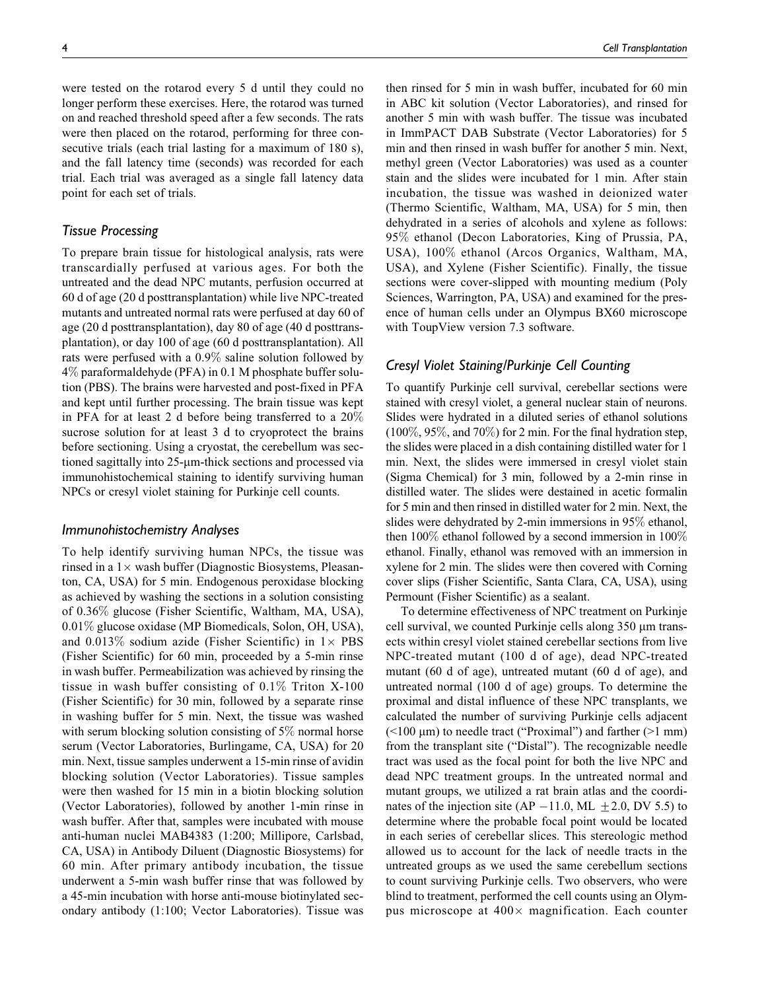were tested on the rotarod every 5 d until they could no longer perform these exercises. Here, the rotarod was turned on and reached threshold speed after a few seconds. The rats were then placed on the rotarod, performing for three consecutive trials (each trial lasting for a maximum of 180 s), and the fall latency time (seconds) was recorded for each trial. Each trial was averaged as a single fall latency data point for each set of trials.

### Tissue Processing

To prepare brain tissue for histological analysis, rats were transcardially perfused at various ages. For both the untreated and the dead NPC mutants, perfusion occurred at 60 d of age (20 d posttransplantation) while live NPC-treated mutants and untreated normal rats were perfused at day 60 of age (20 d posttransplantation), day 80 of age (40 d posttransplantation), or day 100 of age (60 d posttransplantation). All rats were perfused with a 0.9% saline solution followed by 4% paraformaldehyde (PFA) in 0.1 M phosphate buffer solution (PBS). The brains were harvested and post-fixed in PFA and kept until further processing. The brain tissue was kept in PFA for at least 2 d before being transferred to a 20% sucrose solution for at least 3 d to cryoprotect the brains before sectioning. Using a cryostat, the cerebellum was sectioned sagittally into 25-um-thick sections and processed via immunohistochemical staining to identify surviving human NPCs or cresyl violet staining for Purkinje cell counts.

### Immunohistochemistry Analyses

To help identify surviving human NPCs, the tissue was rinsed in a  $1 \times$  wash buffer (Diagnostic Biosystems, Pleasanton, CA, USA) for 5 min. Endogenous peroxidase blocking as achieved by washing the sections in a solution consisting of 0.36% glucose (Fisher Scientific, Waltham, MA, USA), 0.01% glucose oxidase (MP Biomedicals, Solon, OH, USA), and 0.013% sodium azide (Fisher Scientific) in  $1 \times$  PBS (Fisher Scientific) for 60 min, proceeded by a 5-min rinse in wash buffer. Permeabilization was achieved by rinsing the tissue in wash buffer consisting of 0.1% Triton X-100 (Fisher Scientific) for 30 min, followed by a separate rinse in washing buffer for 5 min. Next, the tissue was washed with serum blocking solution consisting of 5% normal horse serum (Vector Laboratories, Burlingame, CA, USA) for 20 min. Next, tissue samples underwent a 15-min rinse of avidin blocking solution (Vector Laboratories). Tissue samples were then washed for 15 min in a biotin blocking solution (Vector Laboratories), followed by another 1-min rinse in wash buffer. After that, samples were incubated with mouse anti-human nuclei MAB4383 (1:200; Millipore, Carlsbad, CA, USA) in Antibody Diluent (Diagnostic Biosystems) for 60 min. After primary antibody incubation, the tissue underwent a 5-min wash buffer rinse that was followed by a 45-min incubation with horse anti-mouse biotinylated secondary antibody (1:100; Vector Laboratories). Tissue was then rinsed for 5 min in wash buffer, incubated for 60 min in ABC kit solution (Vector Laboratories), and rinsed for another 5 min with wash buffer. The tissue was incubated in ImmPACT DAB Substrate (Vector Laboratories) for 5 min and then rinsed in wash buffer for another 5 min. Next, methyl green (Vector Laboratories) was used as a counter stain and the slides were incubated for 1 min. After stain incubation, the tissue was washed in deionized water (Thermo Scientific, Waltham, MA, USA) for 5 min, then dehydrated in a series of alcohols and xylene as follows: 95% ethanol (Decon Laboratories, King of Prussia, PA, USA), 100% ethanol (Arcos Organics, Waltham, MA, USA), and Xylene (Fisher Scientific). Finally, the tissue sections were cover-slipped with mounting medium (Poly Sciences, Warrington, PA, USA) and examined for the presence of human cells under an Olympus BX60 microscope with ToupView version 7.3 software.

# Cresyl Violet Staining/Purkinje Cell Counting

To quantify Purkinje cell survival, cerebellar sections were stained with cresyl violet, a general nuclear stain of neurons. Slides were hydrated in a diluted series of ethanol solutions  $(100\%, 95\%, \text{ and } 70\%)$  for 2 min. For the final hydration step, the slides were placed in a dish containing distilled water for 1 min. Next, the slides were immersed in cresyl violet stain (Sigma Chemical) for 3 min, followed by a 2-min rinse in distilled water. The slides were destained in acetic formalin for 5 min and then rinsed in distilled water for 2 min. Next, the slides were dehydrated by 2-min immersions in 95% ethanol, then 100% ethanol followed by a second immersion in 100% ethanol. Finally, ethanol was removed with an immersion in xylene for 2 min. The slides were then covered with Corning cover slips (Fisher Scientific, Santa Clara, CA, USA), using Permount (Fisher Scientific) as a sealant.

To determine effectiveness of NPC treatment on Purkinje cell survival, we counted Purkinje cells along 350  $\mu$ m transects within cresyl violet stained cerebellar sections from live NPC-treated mutant (100 d of age), dead NPC-treated mutant (60 d of age), untreated mutant (60 d of age), and untreated normal (100 d of age) groups. To determine the proximal and distal influence of these NPC transplants, we calculated the number of surviving Purkinje cells adjacent  $(\leq 100 \mu m)$  to needle tract ("Proximal") and farther ( $>1 \text{ mm}$ ) from the transplant site ("Distal"). The recognizable needle tract was used as the focal point for both the live NPC and dead NPC treatment groups. In the untreated normal and mutant groups, we utilized a rat brain atlas and the coordinates of the injection site (AP  $-11.0$ , ML  $\pm 2.0$ , DV 5.5) to determine where the probable focal point would be located in each series of cerebellar slices. This stereologic method allowed us to account for the lack of needle tracts in the untreated groups as we used the same cerebellum sections to count surviving Purkinje cells. Two observers, who were blind to treatment, performed the cell counts using an Olympus microscope at  $400 \times$  magnification. Each counter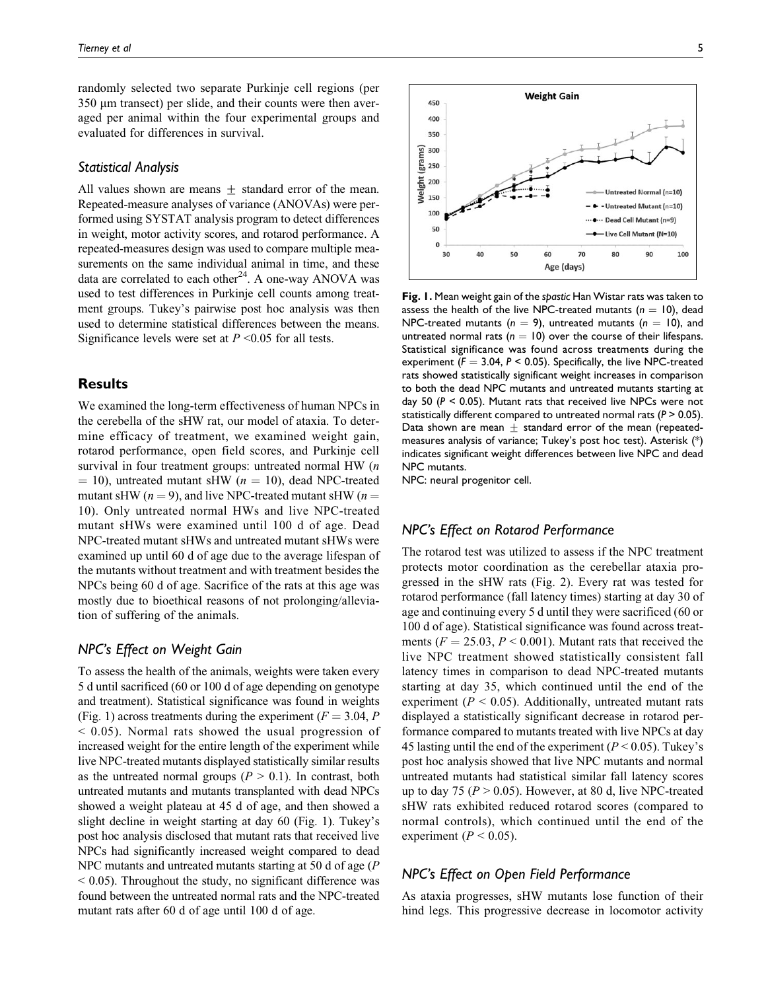randomly selected two separate Purkinje cell regions (per 350 µm transect) per slide, and their counts were then averaged per animal within the four experimental groups and evaluated for differences in survival.

### Statistical Analysis

All values shown are means  $\pm$  standard error of the mean. Repeated-measure analyses of variance (ANOVAs) were performed using SYSTAT analysis program to detect differences in weight, motor activity scores, and rotarod performance. A repeated-measures design was used to compare multiple measurements on the same individual animal in time, and these data are correlated to each other<sup>24</sup>. A one-way ANOVA was used to test differences in Purkinje cell counts among treatment groups. Tukey's pairwise post hoc analysis was then used to determine statistical differences between the means. Significance levels were set at  $P \le 0.05$  for all tests.

# **Results**

We examined the long-term effectiveness of human NPCs in the cerebella of the sHW rat, our model of ataxia. To determine efficacy of treatment, we examined weight gain, rotarod performance, open field scores, and Purkinje cell survival in four treatment groups: untreated normal HW (n  $(10)$ , untreated mutant sHW ( $n = 10$ ), dead NPC-treated mutant sHW ( $n = 9$ ), and live NPC-treated mutant sHW ( $n =$ 10). Only untreated normal HWs and live NPC-treated mutant sHWs were examined until 100 d of age. Dead NPC-treated mutant sHWs and untreated mutant sHWs were examined up until 60 d of age due to the average lifespan of the mutants without treatment and with treatment besides the NPCs being 60 d of age. Sacrifice of the rats at this age was mostly due to bioethical reasons of not prolonging/alleviation of suffering of the animals.

# NPC's Effect on Weight Gain

To assess the health of the animals, weights were taken every 5 d until sacrificed (60 or 100 d of age depending on genotype and treatment). Statistical significance was found in weights (Fig. 1) across treatments during the experiment ( $F = 3.04$ , P < 0.05). Normal rats showed the usual progression of increased weight for the entire length of the experiment while live NPC-treated mutants displayed statistically similar results as the untreated normal groups  $(P > 0.1)$ . In contrast, both untreated mutants and mutants transplanted with dead NPCs showed a weight plateau at 45 d of age, and then showed a slight decline in weight starting at day 60 (Fig. 1). Tukey's post hoc analysis disclosed that mutant rats that received live NPCs had significantly increased weight compared to dead NPC mutants and untreated mutants starting at 50 d of age (P  $< 0.05$ ). Throughout the study, no significant difference was found between the untreated normal rats and the NPC-treated mutant rats after 60 d of age until 100 d of age.



Fig. 1. Mean weight gain of the spastic Han Wistar rats was taken to assess the health of the live NPC-treated mutants ( $n = 10$ ), dead NPC-treated mutants ( $n = 9$ ), untreated mutants ( $n = 10$ ), and untreated normal rats ( $n = 10$ ) over the course of their lifespans. Statistical significance was found across treatments during the experiment ( $F = 3.04$ ,  $P < 0.05$ ). Specifically, the live NPC-treated rats showed statistically significant weight increases in comparison to both the dead NPC mutants and untreated mutants starting at day 50 ( $P < 0.05$ ). Mutant rats that received live NPCs were not statistically different compared to untreated normal rats ( $P > 0.05$ ). Data shown are mean  $+$  standard error of the mean (repeatedmeasures analysis of variance; Tukey's post hoc test). Asterisk (\*) indicates significant weight differences between live NPC and dead NPC mutants.

NPC: neural progenitor cell.

# NPC's Effect on Rotarod Performance

The rotarod test was utilized to assess if the NPC treatment protects motor coordination as the cerebellar ataxia progressed in the sHW rats (Fig. 2). Every rat was tested for rotarod performance (fall latency times) starting at day 30 of age and continuing every 5 d until they were sacrificed (60 or 100 d of age). Statistical significance was found across treatments ( $F = 25.03$ ,  $P < 0.001$ ). Mutant rats that received the live NPC treatment showed statistically consistent fall latency times in comparison to dead NPC-treated mutants starting at day 35, which continued until the end of the experiment ( $P < 0.05$ ). Additionally, untreated mutant rats displayed a statistically significant decrease in rotarod performance compared to mutants treated with live NPCs at day 45 lasting until the end of the experiment ( $P < 0.05$ ). Tukey's post hoc analysis showed that live NPC mutants and normal untreated mutants had statistical similar fall latency scores up to day 75 ( $P > 0.05$ ). However, at 80 d, live NPC-treated sHW rats exhibited reduced rotarod scores (compared to normal controls), which continued until the end of the experiment ( $P < 0.05$ ).

# NPC's Effect on Open Field Performance

As ataxia progresses, sHW mutants lose function of their hind legs. This progressive decrease in locomotor activity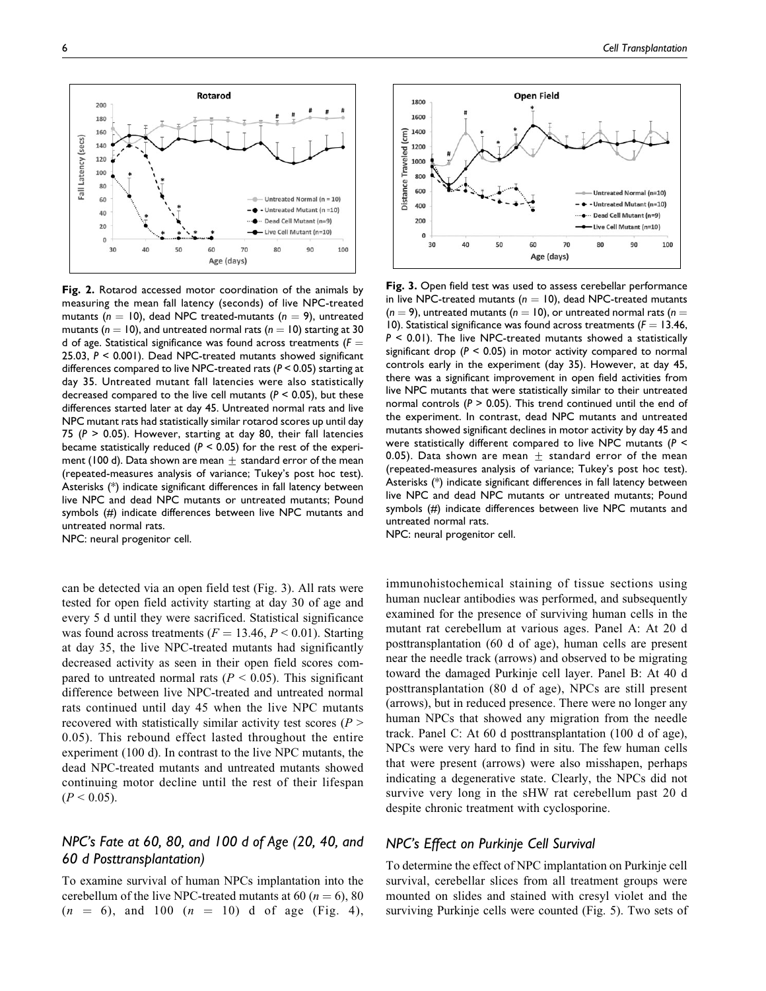

Fig. 2. Rotarod accessed motor coordination of the animals by measuring the mean fall latency (seconds) of live NPC-treated mutants ( $n = 10$ ), dead NPC treated-mutants ( $n = 9$ ), untreated mutants ( $n = 10$ ), and untreated normal rats ( $n = 10$ ) starting at 30 d of age. Statistical significance was found across treatments ( $F =$ 25.03, P < 0.001). Dead NPC-treated mutants showed significant differences compared to live NPC-treated rats ( $P < 0.05$ ) starting at day 35. Untreated mutant fall latencies were also statistically decreased compared to the live cell mutants ( $P < 0.05$ ), but these differences started later at day 45. Untreated normal rats and live NPC mutant rats had statistically similar rotarod scores up until day 75 (P > 0.05). However, starting at day 80, their fall latencies became statistically reduced ( $P < 0.05$ ) for the rest of the experiment (100 d). Data shown are mean  $\pm$  standard error of the mean (repeated-measures analysis of variance; Tukey's post hoc test). Asterisks (\*) indicate significant differences in fall latency between live NPC and dead NPC mutants or untreated mutants; Pound symbols (#) indicate differences between live NPC mutants and untreated normal rats.

NPC: neural progenitor cell.

can be detected via an open field test (Fig. 3). All rats were tested for open field activity starting at day 30 of age and every 5 d until they were sacrificed. Statistical significance was found across treatments ( $F = 13.46, P \le 0.01$ ). Starting at day 35, the live NPC-treated mutants had significantly decreased activity as seen in their open field scores compared to untreated normal rats ( $P < 0.05$ ). This significant difference between live NPC-treated and untreated normal rats continued until day 45 when the live NPC mutants recovered with statistically similar activity test scores ( $P >$ 0.05). This rebound effect lasted throughout the entire experiment (100 d). In contrast to the live NPC mutants, the dead NPC-treated mutants and untreated mutants showed continuing motor decline until the rest of their lifespan  $(P < 0.05)$ .

# NPC's Fate at 60, 80, and 100 d of Age (20, 40, and 60 d Posttransplantation)

To examine survival of human NPCs implantation into the cerebellum of the live NPC-treated mutants at 60 ( $n = 6$ ), 80  $(n = 6)$ , and 100  $(n = 10)$  d of age (Fig. 4),



Fig. 3. Open field test was used to assess cerebellar performance in live NPC-treated mutants ( $n = 10$ ), dead NPC-treated mutants  $(n = 9)$ , untreated mutants ( $n = 10$ ), or untreated normal rats ( $n = 10$ 10). Statistical significance was found across treatments ( $F = 13.46$ ,  $P < 0.01$ ). The live NPC-treated mutants showed a statistically significant drop ( $P < 0.05$ ) in motor activity compared to normal controls early in the experiment (day 35). However, at day 45, there was a significant improvement in open field activities from live NPC mutants that were statistically similar to their untreated normal controls ( $P > 0.05$ ). This trend continued until the end of the experiment. In contrast, dead NPC mutants and untreated mutants showed significant declines in motor activity by day 45 and were statistically different compared to live NPC mutants ( $P$  < 0.05). Data shown are mean  $+$  standard error of the mean (repeated-measures analysis of variance; Tukey's post hoc test). Asterisks (\*) indicate significant differences in fall latency between live NPC and dead NPC mutants or untreated mutants; Pound symbols (#) indicate differences between live NPC mutants and untreated normal rats.

NPC: neural progenitor cell.

immunohistochemical staining of tissue sections using human nuclear antibodies was performed, and subsequently examined for the presence of surviving human cells in the mutant rat cerebellum at various ages. Panel A: At 20 d posttransplantation (60 d of age), human cells are present near the needle track (arrows) and observed to be migrating toward the damaged Purkinje cell layer. Panel B: At 40 d posttransplantation (80 d of age), NPCs are still present (arrows), but in reduced presence. There were no longer any human NPCs that showed any migration from the needle track. Panel C: At 60 d posttransplantation (100 d of age), NPCs were very hard to find in situ. The few human cells that were present (arrows) were also misshapen, perhaps indicating a degenerative state. Clearly, the NPCs did not survive very long in the sHW rat cerebellum past 20 d despite chronic treatment with cyclosporine.

### NPC's Effect on Purkinje Cell Survival

To determine the effect of NPC implantation on Purkinje cell survival, cerebellar slices from all treatment groups were mounted on slides and stained with cresyl violet and the surviving Purkinje cells were counted (Fig. 5). Two sets of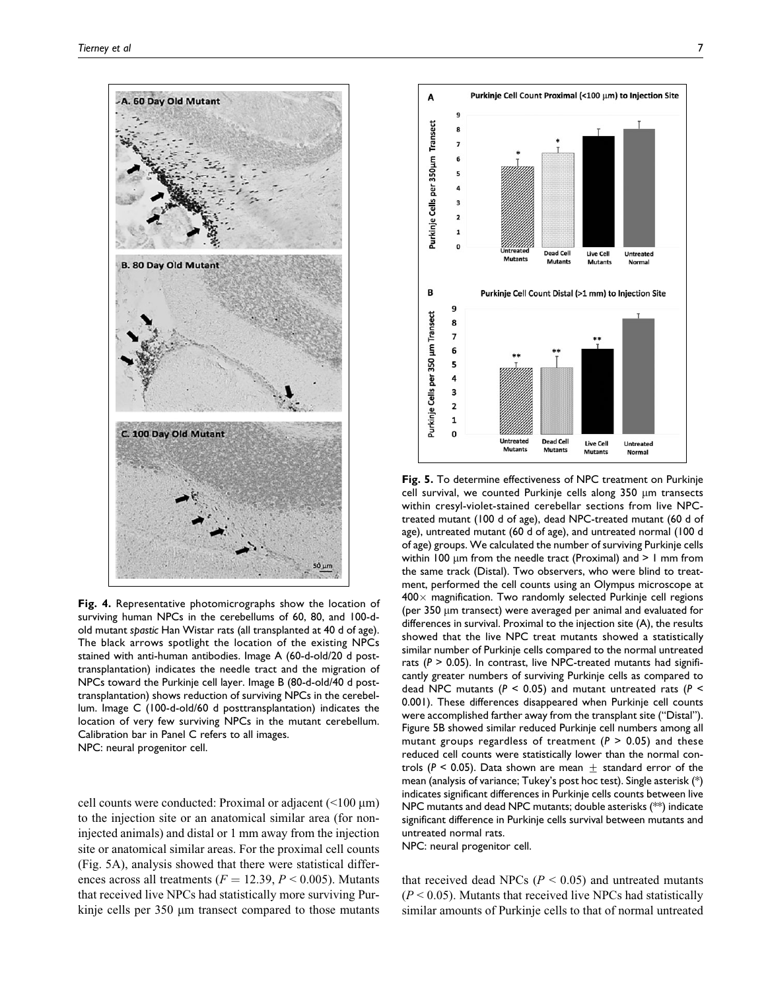

Fig. 4. Representative photomicrographs show the location of surviving human NPCs in the cerebellums of 60, 80, and 100-dold mutant spastic Han Wistar rats (all transplanted at 40 d of age). The black arrows spotlight the location of the existing NPCs stained with anti-human antibodies. Image A (60-d-old/20 d posttransplantation) indicates the needle tract and the migration of NPCs toward the Purkinje cell layer. Image B (80-d-old/40 d posttransplantation) shows reduction of surviving NPCs in the cerebellum. Image C (100-d-old/60 d posttransplantation) indicates the location of very few surviving NPCs in the mutant cerebellum. Calibration bar in Panel C refers to all images. NPC: neural progenitor cell.

cell counts were conducted: Proximal or adjacent  $(\leq 100 \,\mu m)$ to the injection site or an anatomical similar area (for noninjected animals) and distal or 1 mm away from the injection site or anatomical similar areas. For the proximal cell counts (Fig. 5A), analysis showed that there were statistical differences across all treatments ( $F = 12.39, P \le 0.005$ ). Mutants that received live NPCs had statistically more surviving Purkinje cells per  $350 \mu m$  transect compared to those mutants



Fig. 5. To determine effectiveness of NPC treatment on Purkinje cell survival, we counted Purkinje cells along  $350 \mu m$  transects within cresyl-violet-stained cerebellar sections from live NPCtreated mutant (100 d of age), dead NPC-treated mutant (60 d of age), untreated mutant (60 d of age), and untreated normal (100 d of age) groups. We calculated the number of surviving Purkinje cells within 100  $\mu$ m from the needle tract (Proximal) and  $> 1$  mm from the same track (Distal). Two observers, who were blind to treatment, performed the cell counts using an Olympus microscope at  $400\times$  magnification. Two randomly selected Purkinje cell regions (per  $350 \mu m$  transect) were averaged per animal and evaluated for differences in survival. Proximal to the injection site (A), the results showed that the live NPC treat mutants showed a statistically similar number of Purkinje cells compared to the normal untreated rats ( $P > 0.05$ ). In contrast, live NPC-treated mutants had significantly greater numbers of surviving Purkinje cells as compared to dead NPC mutants ( $P < 0.05$ ) and mutant untreated rats ( $P <$ 0.001). These differences disappeared when Purkinje cell counts were accomplished farther away from the transplant site ("Distal"). Figure 5B showed similar reduced Purkinje cell numbers among all mutant groups regardless of treatment ( $P > 0.05$ ) and these reduced cell counts were statistically lower than the normal controls ( $P < 0.05$ ). Data shown are mean  $\pm$  standard error of the mean (analysis of variance; Tukey's post hoc test). Single asterisk (\*) indicates significant differences in Purkinje cells counts between live NPC mutants and dead NPC mutants; double asterisks (\*\*) indicate significant difference in Purkinje cells survival between mutants and untreated normal rats.

NPC: neural progenitor cell.

that received dead NPCs ( $P < 0.05$ ) and untreated mutants  $(P < 0.05)$ . Mutants that received live NPCs had statistically similar amounts of Purkinje cells to that of normal untreated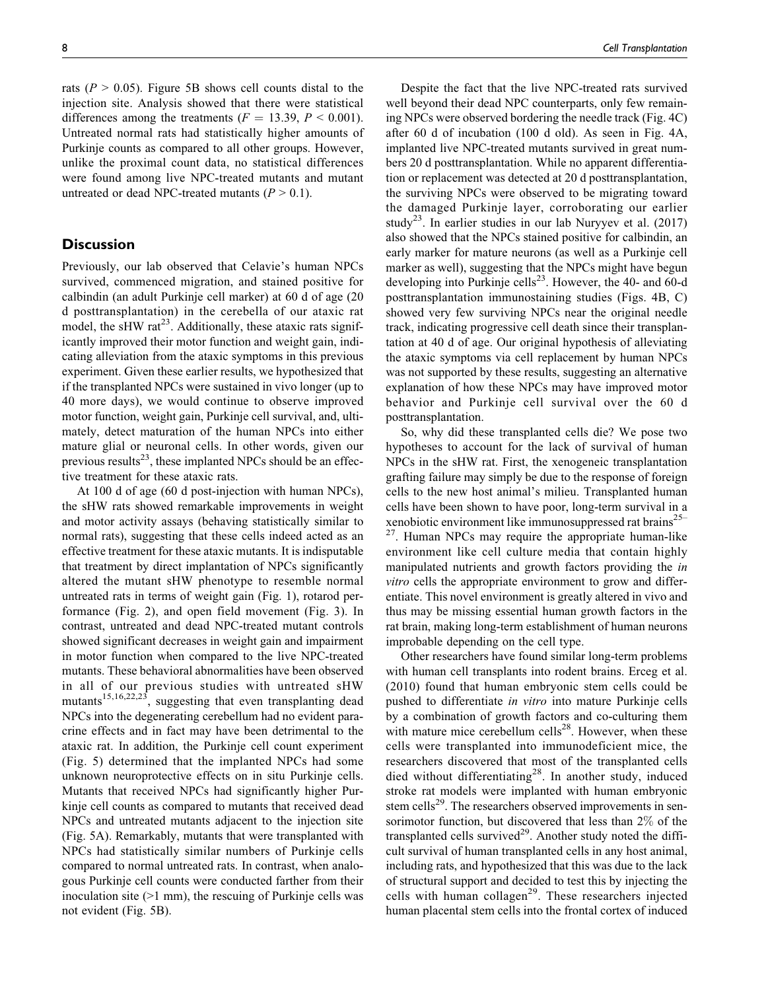rats ( $P > 0.05$ ). Figure 5B shows cell counts distal to the injection site. Analysis showed that there were statistical differences among the treatments  $(F = 13.39, P \le 0.001)$ . Untreated normal rats had statistically higher amounts of Purkinje counts as compared to all other groups. However, unlike the proximal count data, no statistical differences were found among live NPC-treated mutants and mutant untreated or dead NPC-treated mutants  $(P > 0.1)$ .

# **Discussion**

Previously, our lab observed that Celavie's human NPCs survived, commenced migration, and stained positive for calbindin (an adult Purkinje cell marker) at 60 d of age (20 d posttransplantation) in the cerebella of our ataxic rat model, the sHW rat<sup>23</sup>. Additionally, these ataxic rats significantly improved their motor function and weight gain, indicating alleviation from the ataxic symptoms in this previous experiment. Given these earlier results, we hypothesized that if the transplanted NPCs were sustained in vivo longer (up to 40 more days), we would continue to observe improved motor function, weight gain, Purkinje cell survival, and, ultimately, detect maturation of the human NPCs into either mature glial or neuronal cells. In other words, given our previous results<sup>23</sup>, these implanted NPCs should be an effective treatment for these ataxic rats.

At 100 d of age (60 d post-injection with human NPCs), the sHW rats showed remarkable improvements in weight and motor activity assays (behaving statistically similar to normal rats), suggesting that these cells indeed acted as an effective treatment for these ataxic mutants. It is indisputable that treatment by direct implantation of NPCs significantly altered the mutant sHW phenotype to resemble normal untreated rats in terms of weight gain (Fig. 1), rotarod performance (Fig. 2), and open field movement (Fig. 3). In contrast, untreated and dead NPC-treated mutant controls showed significant decreases in weight gain and impairment in motor function when compared to the live NPC-treated mutants. These behavioral abnormalities have been observed in all of our previous studies with untreated sHW mutants<sup>15,16,22,23</sup>, suggesting that even transplanting dead NPCs into the degenerating cerebellum had no evident paracrine effects and in fact may have been detrimental to the ataxic rat. In addition, the Purkinje cell count experiment (Fig. 5) determined that the implanted NPCs had some unknown neuroprotective effects on in situ Purkinje cells. Mutants that received NPCs had significantly higher Purkinje cell counts as compared to mutants that received dead NPCs and untreated mutants adjacent to the injection site (Fig. 5A). Remarkably, mutants that were transplanted with NPCs had statistically similar numbers of Purkinje cells compared to normal untreated rats. In contrast, when analogous Purkinje cell counts were conducted farther from their inoculation site (>1 mm), the rescuing of Purkinje cells was not evident (Fig. 5B).

Despite the fact that the live NPC-treated rats survived well beyond their dead NPC counterparts, only few remaining NPCs were observed bordering the needle track (Fig. 4C) after 60 d of incubation (100 d old). As seen in Fig. 4A, implanted live NPC-treated mutants survived in great numbers 20 d posttransplantation. While no apparent differentiation or replacement was detected at 20 d posttransplantation, the surviving NPCs were observed to be migrating toward the damaged Purkinje layer, corroborating our earlier study<sup>23</sup>. In earlier studies in our lab Nuryyev et al.  $(2017)$ also showed that the NPCs stained positive for calbindin, an early marker for mature neurons (as well as a Purkinje cell marker as well), suggesting that the NPCs might have begun developing into Purkinje cells<sup>23</sup>. However, the 40- and 60-d posttransplantation immunostaining studies (Figs. 4B, C) showed very few surviving NPCs near the original needle track, indicating progressive cell death since their transplantation at 40 d of age. Our original hypothesis of alleviating the ataxic symptoms via cell replacement by human NPCs was not supported by these results, suggesting an alternative explanation of how these NPCs may have improved motor behavior and Purkinje cell survival over the 60 d posttransplantation.

So, why did these transplanted cells die? We pose two hypotheses to account for the lack of survival of human NPCs in the sHW rat. First, the xenogeneic transplantation grafting failure may simply be due to the response of foreign cells to the new host animal's milieu. Transplanted human cells have been shown to have poor, long-term survival in a xenobiotic environment like immunosuppressed rat brains<sup>25–</sup>  $27$ . Human NPCs may require the appropriate human-like environment like cell culture media that contain highly manipulated nutrients and growth factors providing the in vitro cells the appropriate environment to grow and differentiate. This novel environment is greatly altered in vivo and thus may be missing essential human growth factors in the rat brain, making long-term establishment of human neurons improbable depending on the cell type.

Other researchers have found similar long-term problems with human cell transplants into rodent brains. Erceg et al. (2010) found that human embryonic stem cells could be pushed to differentiate in vitro into mature Purkinje cells by a combination of growth factors and co-culturing them with mature mice cerebellum cells<sup>28</sup>. However, when these cells were transplanted into immunodeficient mice, the researchers discovered that most of the transplanted cells died without differentiating<sup>28</sup>. In another study, induced stroke rat models were implanted with human embryonic stem cells<sup>29</sup>. The researchers observed improvements in sensorimotor function, but discovered that less than 2% of the transplanted cells survived<sup>29</sup>. Another study noted the difficult survival of human transplanted cells in any host animal, including rats, and hypothesized that this was due to the lack of structural support and decided to test this by injecting the cells with human collagen<sup>29</sup>. These researchers injected human placental stem cells into the frontal cortex of induced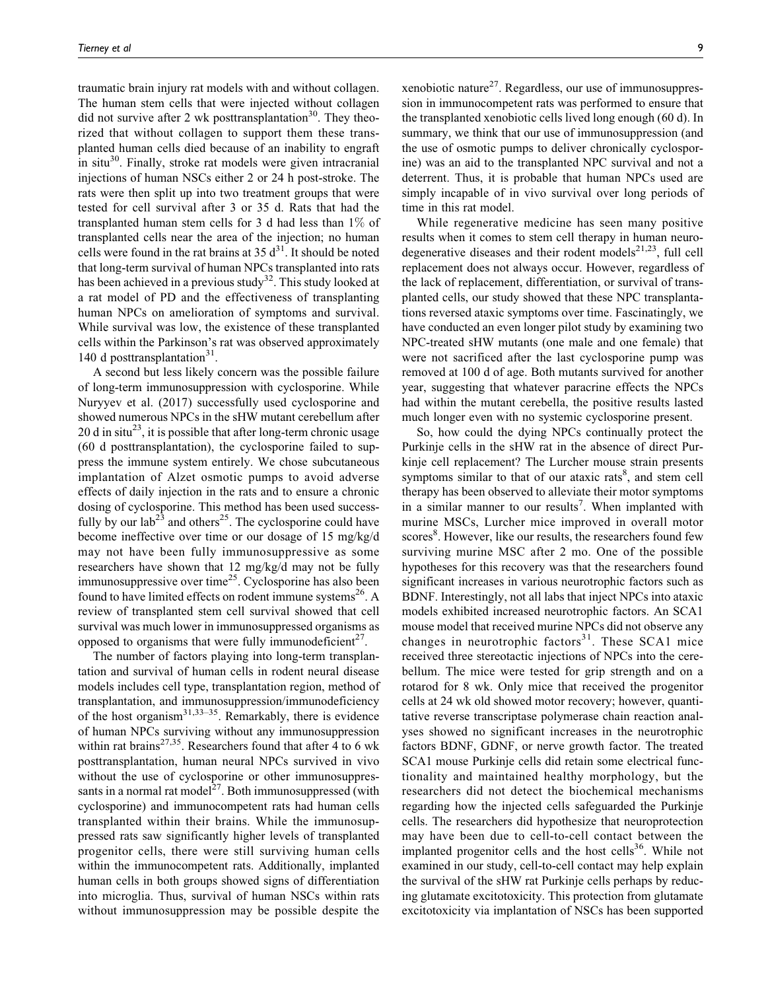traumatic brain injury rat models with and without collagen. The human stem cells that were injected without collagen did not survive after 2 wk posttransplantation<sup>30</sup>. They theorized that without collagen to support them these transplanted human cells died because of an inability to engraft in situ $30$ . Finally, stroke rat models were given intracranial injections of human NSCs either 2 or 24 h post-stroke. The rats were then split up into two treatment groups that were tested for cell survival after 3 or 35 d. Rats that had the transplanted human stem cells for 3 d had less than 1% of transplanted cells near the area of the injection; no human cells were found in the rat brains at 35  $d^{31}$ . It should be noted that long-term survival of human NPCs transplanted into rats has been achieved in a previous study<sup>32</sup>. This study looked at a rat model of PD and the effectiveness of transplanting human NPCs on amelioration of symptoms and survival. While survival was low, the existence of these transplanted cells within the Parkinson's rat was observed approximately 140 d posttransplantation $31$ .

A second but less likely concern was the possible failure of long-term immunosuppression with cyclosporine. While Nuryyev et al. (2017) successfully used cyclosporine and showed numerous NPCs in the sHW mutant cerebellum after 20 d in situ<sup>23</sup>, it is possible that after long-term chronic usage (60 d posttransplantation), the cyclosporine failed to suppress the immune system entirely. We chose subcutaneous implantation of Alzet osmotic pumps to avoid adverse effects of daily injection in the rats and to ensure a chronic dosing of cyclosporine. This method has been used successfully by our lab<sup>23</sup> and others<sup>25</sup>. The cyclosporine could have become ineffective over time or our dosage of 15 mg/kg/d may not have been fully immunosuppressive as some researchers have shown that 12 mg/kg/d may not be fully immunosuppressive over time<sup>25</sup>. Cyclosporine has also been found to have limited effects on rodent immune systems $^{26}$ . A review of transplanted stem cell survival showed that cell survival was much lower in immunosuppressed organisms as opposed to organisms that were fully immunodeficient<sup>27</sup>.

The number of factors playing into long-term transplantation and survival of human cells in rodent neural disease models includes cell type, transplantation region, method of transplantation, and immunosuppression/immunodeficiency of the host organism $31,33-35$ . Remarkably, there is evidence of human NPCs surviving without any immunosuppression within rat brains<sup>27,35</sup>. Researchers found that after 4 to 6 wk posttransplantation, human neural NPCs survived in vivo without the use of cyclosporine or other immunosuppressants in a normal rat model<sup>27</sup>. Both immunosuppressed (with cyclosporine) and immunocompetent rats had human cells transplanted within their brains. While the immunosuppressed rats saw significantly higher levels of transplanted progenitor cells, there were still surviving human cells within the immunocompetent rats. Additionally, implanted human cells in both groups showed signs of differentiation into microglia. Thus, survival of human NSCs within rats without immunosuppression may be possible despite the xenobiotic nature $^{27}$ . Regardless, our use of immunosuppression in immunocompetent rats was performed to ensure that the transplanted xenobiotic cells lived long enough (60 d). In summary, we think that our use of immunosuppression (and the use of osmotic pumps to deliver chronically cyclosporine) was an aid to the transplanted NPC survival and not a deterrent. Thus, it is probable that human NPCs used are simply incapable of in vivo survival over long periods of time in this rat model.

While regenerative medicine has seen many positive results when it comes to stem cell therapy in human neurodegenerative diseases and their rodent models<sup>21,23</sup>, full cell replacement does not always occur. However, regardless of the lack of replacement, differentiation, or survival of transplanted cells, our study showed that these NPC transplantations reversed ataxic symptoms over time. Fascinatingly, we have conducted an even longer pilot study by examining two NPC-treated sHW mutants (one male and one female) that were not sacrificed after the last cyclosporine pump was removed at 100 d of age. Both mutants survived for another year, suggesting that whatever paracrine effects the NPCs had within the mutant cerebella, the positive results lasted much longer even with no systemic cyclosporine present.

So, how could the dying NPCs continually protect the Purkinje cells in the sHW rat in the absence of direct Purkinje cell replacement? The Lurcher mouse strain presents symptoms similar to that of our ataxic rats<sup>8</sup>, and stem cell therapy has been observed to alleviate their motor symptoms in a similar manner to our results<sup>7</sup>. When implanted with murine MSCs, Lurcher mice improved in overall motor scores<sup>8</sup>. However, like our results, the researchers found few surviving murine MSC after 2 mo. One of the possible hypotheses for this recovery was that the researchers found significant increases in various neurotrophic factors such as BDNF. Interestingly, not all labs that inject NPCs into ataxic models exhibited increased neurotrophic factors. An SCA1 mouse model that received murine NPCs did not observe any changes in neurotrophic factors $31$ . These SCA1 mice received three stereotactic injections of NPCs into the cerebellum. The mice were tested for grip strength and on a rotarod for 8 wk. Only mice that received the progenitor cells at 24 wk old showed motor recovery; however, quantitative reverse transcriptase polymerase chain reaction analyses showed no significant increases in the neurotrophic factors BDNF, GDNF, or nerve growth factor. The treated SCA1 mouse Purkinje cells did retain some electrical functionality and maintained healthy morphology, but the researchers did not detect the biochemical mechanisms regarding how the injected cells safeguarded the Purkinje cells. The researchers did hypothesize that neuroprotection may have been due to cell-to-cell contact between the implanted progenitor cells and the host cells<sup>36</sup>. While not examined in our study, cell-to-cell contact may help explain the survival of the sHW rat Purkinje cells perhaps by reducing glutamate excitotoxicity. This protection from glutamate excitotoxicity via implantation of NSCs has been supported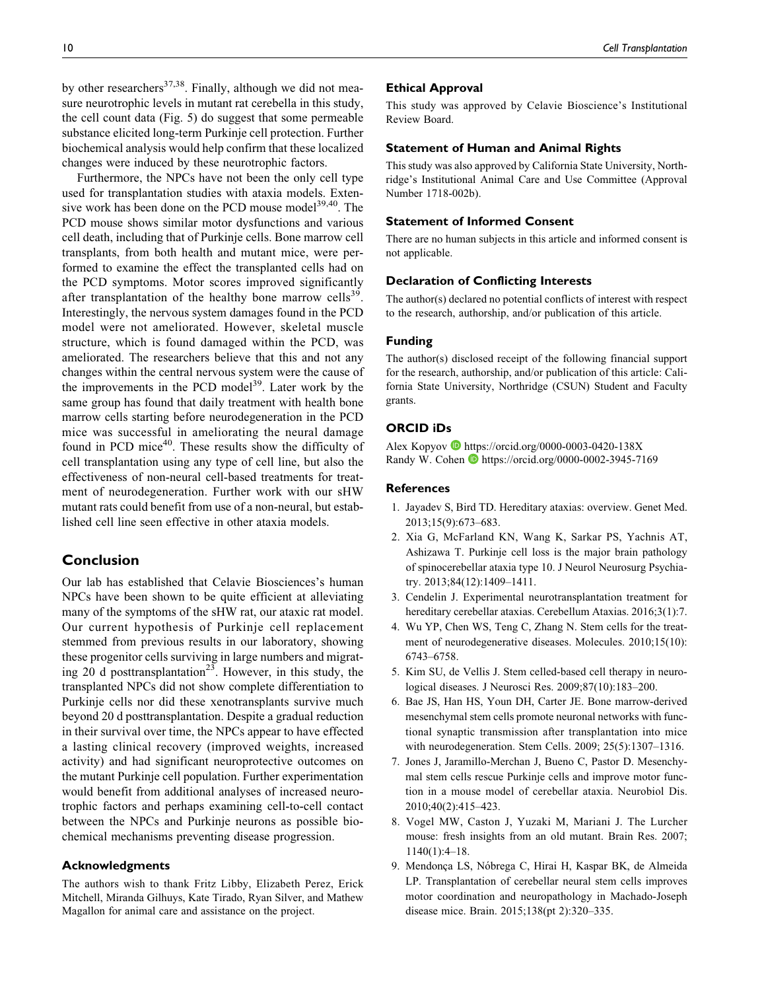by other researchers<sup>37,38</sup>. Finally, although we did not measure neurotrophic levels in mutant rat cerebella in this study, the cell count data (Fig. 5) do suggest that some permeable substance elicited long-term Purkinje cell protection. Further biochemical analysis would help confirm that these localized changes were induced by these neurotrophic factors.

Furthermore, the NPCs have not been the only cell type used for transplantation studies with ataxia models. Extensive work has been done on the PCD mouse model<sup>39,40</sup>. The PCD mouse shows similar motor dysfunctions and various cell death, including that of Purkinje cells. Bone marrow cell transplants, from both health and mutant mice, were performed to examine the effect the transplanted cells had on the PCD symptoms. Motor scores improved significantly after transplantation of the healthy bone marrow cells<sup>39</sup>. Interestingly, the nervous system damages found in the PCD model were not ameliorated. However, skeletal muscle structure, which is found damaged within the PCD, was ameliorated. The researchers believe that this and not any changes within the central nervous system were the cause of the improvements in the PCD model<sup>39</sup>. Later work by the same group has found that daily treatment with health bone marrow cells starting before neurodegeneration in the PCD mice was successful in ameliorating the neural damage found in PCD mice<sup>40</sup>. These results show the difficulty of cell transplantation using any type of cell line, but also the effectiveness of non-neural cell-based treatments for treatment of neurodegeneration. Further work with our sHW mutant rats could benefit from use of a non-neural, but established cell line seen effective in other ataxia models.

# Conclusion

Our lab has established that Celavie Biosciences's human NPCs have been shown to be quite efficient at alleviating many of the symptoms of the sHW rat, our ataxic rat model. Our current hypothesis of Purkinje cell replacement stemmed from previous results in our laboratory, showing these progenitor cells surviving in large numbers and migrating 20 d posttransplantation<sup>23</sup>. However, in this study, the transplanted NPCs did not show complete differentiation to Purkinje cells nor did these xenotransplants survive much beyond 20 d posttransplantation. Despite a gradual reduction in their survival over time, the NPCs appear to have effected a lasting clinical recovery (improved weights, increased activity) and had significant neuroprotective outcomes on the mutant Purkinje cell population. Further experimentation would benefit from additional analyses of increased neurotrophic factors and perhaps examining cell-to-cell contact between the NPCs and Purkinje neurons as possible biochemical mechanisms preventing disease progression.

### Acknowledgments

The authors wish to thank Fritz Libby, Elizabeth Perez, Erick Mitchell, Miranda Gilhuys, Kate Tirado, Ryan Silver, and Mathew Magallon for animal care and assistance on the project.

### Ethical Approval

This study was approved by Celavie Bioscience's Institutional Review Board.

#### Statement of Human and Animal Rights

This study was also approved by California State University, Northridge's Institutional Animal Care and Use Committee (Approval Number 1718-002b).

### Statement of Informed Consent

There are no human subjects in this article and informed consent is not applicable.

### Declaration of Conflicting Interests

The author(s) declared no potential conflicts of interest with respect to the research, authorship, and/or publication of this article.

### Funding

The author(s) disclosed receipt of the following financial support for the research, authorship, and/or publication of this article: California State University, Northridge (CSUN) Student and Faculty grants.

### ORCID iDs

Alex Kopyov <https://orcid.org/0000-0003-0420-138X> Randy W. Cohen D <https://orcid.org/0000-0002-3945-7169>

### **References**

- 1. Jayadev S, Bird TD. Hereditary ataxias: overview. Genet Med. 2013;15(9):673–683.
- 2. Xia G, McFarland KN, Wang K, Sarkar PS, Yachnis AT, Ashizawa T. Purkinje cell loss is the major brain pathology of spinocerebellar ataxia type 10. J Neurol Neurosurg Psychiatry. 2013;84(12):1409–1411.
- 3. Cendelin J. Experimental neurotransplantation treatment for hereditary cerebellar ataxias. Cerebellum Ataxias. 2016;3(1):7.
- 4. Wu YP, Chen WS, Teng C, Zhang N. Stem cells for the treatment of neurodegenerative diseases. Molecules. 2010;15(10): 6743–6758.
- 5. Kim SU, de Vellis J. Stem celled-based cell therapy in neurological diseases. J Neurosci Res. 2009;87(10):183–200.
- 6. Bae JS, Han HS, Youn DH, Carter JE. Bone marrow-derived mesenchymal stem cells promote neuronal networks with functional synaptic transmission after transplantation into mice with neurodegeneration. Stem Cells. 2009; 25(5):1307–1316.
- 7. Jones J, Jaramillo-Merchan J, Bueno C, Pastor D. Mesenchymal stem cells rescue Purkinje cells and improve motor function in a mouse model of cerebellar ataxia. Neurobiol Dis. 2010;40(2):415–423.
- 8. Vogel MW, Caston J, Yuzaki M, Mariani J. The Lurcher mouse: fresh insights from an old mutant. Brain Res. 2007; 1140(1):4–18.
- 9. Mendonça LS, Nóbrega C, Hirai H, Kaspar BK, de Almeida LP. Transplantation of cerebellar neural stem cells improves motor coordination and neuropathology in Machado-Joseph disease mice. Brain. 2015;138(pt 2):320–335.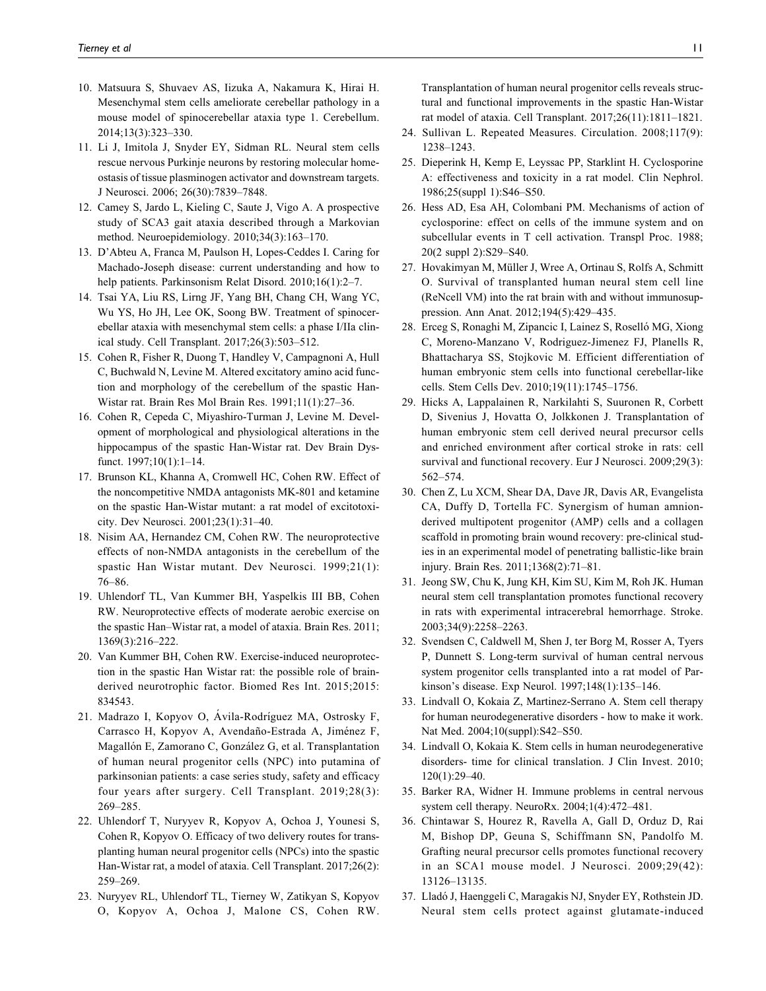- 10. Matsuura S, Shuvaev AS, Iizuka A, Nakamura K, Hirai H. Mesenchymal stem cells ameliorate cerebellar pathology in a mouse model of spinocerebellar ataxia type 1. Cerebellum. 2014;13(3):323–330.
- 11. Li J, Imitola J, Snyder EY, Sidman RL. Neural stem cells rescue nervous Purkinje neurons by restoring molecular homeostasis of tissue plasminogen activator and downstream targets. J Neurosci. 2006; 26(30):7839–7848.
- 12. Camey S, Jardo L, Kieling C, Saute J, Vigo A. A prospective study of SCA3 gait ataxia described through a Markovian method. Neuroepidemiology. 2010;34(3):163–170.
- 13. D'Abteu A, Franca M, Paulson H, Lopes-Ceddes I. Caring for Machado-Joseph disease: current understanding and how to help patients. Parkinsonism Relat Disord. 2010;16(1):2-7.
- 14. Tsai YA, Liu RS, Lirng JF, Yang BH, Chang CH, Wang YC, Wu YS, Ho JH, Lee OK, Soong BW. Treatment of spinocerebellar ataxia with mesenchymal stem cells: a phase I/IIa clinical study. Cell Transplant. 2017;26(3):503–512.
- 15. Cohen R, Fisher R, Duong T, Handley V, Campagnoni A, Hull C, Buchwald N, Levine M. Altered excitatory amino acid function and morphology of the cerebellum of the spastic Han-Wistar rat. Brain Res Mol Brain Res. 1991;11(1):27–36.
- 16. Cohen R, Cepeda C, Miyashiro-Turman J, Levine M. Development of morphological and physiological alterations in the hippocampus of the spastic Han-Wistar rat. Dev Brain Dysfunct. 1997;10(1):1–14.
- 17. Brunson KL, Khanna A, Cromwell HC, Cohen RW. Effect of the noncompetitive NMDA antagonists MK-801 and ketamine on the spastic Han-Wistar mutant: a rat model of excitotoxicity. Dev Neurosci. 2001;23(1):31–40.
- 18. Nisim AA, Hernandez CM, Cohen RW. The neuroprotective effects of non-NMDA antagonists in the cerebellum of the spastic Han Wistar mutant. Dev Neurosci. 1999;21(1): 76–86.
- 19. Uhlendorf TL, Van Kummer BH, Yaspelkis III BB, Cohen RW. Neuroprotective effects of moderate aerobic exercise on the spastic Han–Wistar rat, a model of ataxia. Brain Res. 2011; 1369(3):216–222.
- 20. Van Kummer BH, Cohen RW. Exercise-induced neuroprotection in the spastic Han Wistar rat: the possible role of brainderived neurotrophic factor. Biomed Res Int. 2015;2015: 834543.
- 21. Madrazo I, Kopyov O, Ávila-Rodríguez MA, Ostrosky F, Carrasco H, Kopyov A, Avendaño-Estrada A, Jiménez F, Magallón E, Zamorano C, González G, et al. Transplantation of human neural progenitor cells (NPC) into putamina of parkinsonian patients: a case series study, safety and efficacy four years after surgery. Cell Transplant. 2019;28(3): 269–285.
- 22. Uhlendorf T, Nuryyev R, Kopyov A, Ochoa J, Younesi S, Cohen R, Kopyov O. Efficacy of two delivery routes for transplanting human neural progenitor cells (NPCs) into the spastic Han-Wistar rat, a model of ataxia. Cell Transplant. 2017;26(2): 259–269.
- 23. Nuryyev RL, Uhlendorf TL, Tierney W, Zatikyan S, Kopyov O, Kopyov A, Ochoa J, Malone CS, Cohen RW.

Transplantation of human neural progenitor cells reveals structural and functional improvements in the spastic Han-Wistar rat model of ataxia. Cell Transplant. 2017;26(11):1811–1821.

- 24. Sullivan L. Repeated Measures. Circulation. 2008;117(9): 1238–1243.
- 25. Dieperink H, Kemp E, Leyssac PP, Starklint H. Cyclosporine A: effectiveness and toxicity in a rat model. Clin Nephrol. 1986;25(suppl 1):S46–S50.
- 26. Hess AD, Esa AH, Colombani PM. Mechanisms of action of cyclosporine: effect on cells of the immune system and on subcellular events in T cell activation. Transpl Proc. 1988; 20(2 suppl 2):S29–S40.
- 27. Hovakimyan M, Müller J, Wree A, Ortinau S, Rolfs A, Schmitt O. Survival of transplanted human neural stem cell line (ReNcell VM) into the rat brain with and without immunosuppression. Ann Anat. 2012;194(5):429–435.
- 28. Erceg S, Ronaghi M, Zipancic I, Lainez S, Roselló MG, Xiong C, Moreno-Manzano V, Rodriguez-Jimenez FJ, Planells R, Bhattacharya SS, Stojkovic M. Efficient differentiation of human embryonic stem cells into functional cerebellar-like cells. Stem Cells Dev. 2010;19(11):1745–1756.
- 29. Hicks A, Lappalainen R, Narkilahti S, Suuronen R, Corbett D, Sivenius J, Hovatta O, Jolkkonen J. Transplantation of human embryonic stem cell derived neural precursor cells and enriched environment after cortical stroke in rats: cell survival and functional recovery. Eur J Neurosci. 2009;29(3): 562–574.
- 30. Chen Z, Lu XCM, Shear DA, Dave JR, Davis AR, Evangelista CA, Duffy D, Tortella FC. Synergism of human amnionderived multipotent progenitor (AMP) cells and a collagen scaffold in promoting brain wound recovery: pre-clinical studies in an experimental model of penetrating ballistic-like brain injury. Brain Res. 2011;1368(2):71–81.
- 31. Jeong SW, Chu K, Jung KH, Kim SU, Kim M, Roh JK. Human neural stem cell transplantation promotes functional recovery in rats with experimental intracerebral hemorrhage. Stroke. 2003;34(9):2258–2263.
- 32. Svendsen C, Caldwell M, Shen J, ter Borg M, Rosser A, Tyers P, Dunnett S. Long-term survival of human central nervous system progenitor cells transplanted into a rat model of Parkinson's disease. Exp Neurol. 1997;148(1):135–146.
- 33. Lindvall O, Kokaia Z, Martinez-Serrano A. Stem cell therapy for human neurodegenerative disorders - how to make it work. Nat Med. 2004;10(suppl):S42–S50.
- 34. Lindvall O, Kokaia K. Stem cells in human neurodegenerative disorders- time for clinical translation. J Clin Invest. 2010; 120(1):29–40.
- 35. Barker RA, Widner H. Immune problems in central nervous system cell therapy. NeuroRx. 2004;1(4):472–481.
- 36. Chintawar S, Hourez R, Ravella A, Gall D, Orduz D, Rai M, Bishop DP, Geuna S, Schiffmann SN, Pandolfo M. Grafting neural precursor cells promotes functional recovery in an SCA1 mouse model. J Neurosci. 2009;29(42): 13126–13135.
- 37. Llad´o J, Haenggeli C, Maragakis NJ, Snyder EY, Rothstein JD. Neural stem cells protect against glutamate-induced